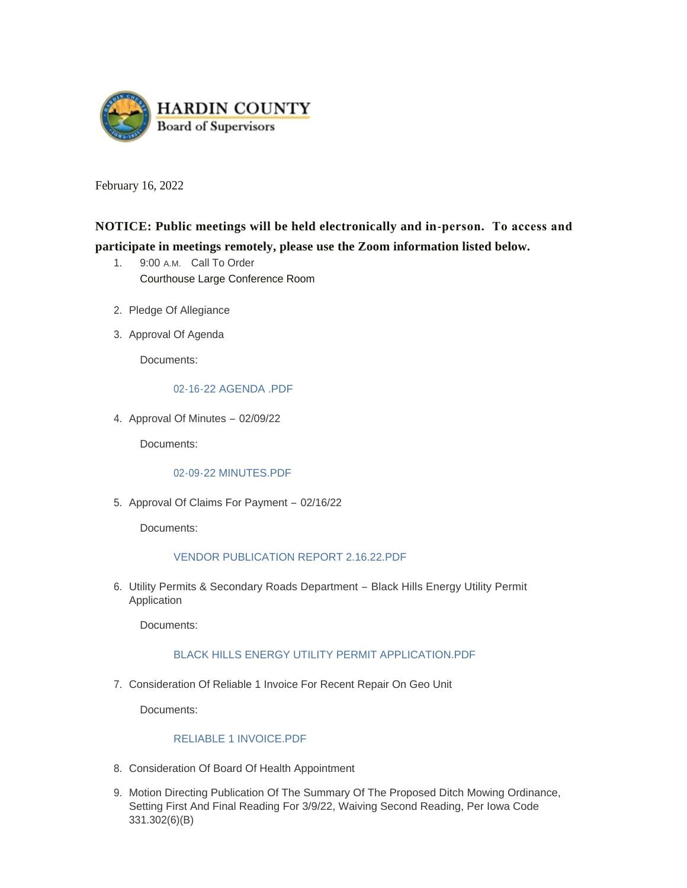

February 16, 2022

# **NOTICE: Public meetings will be held electronically and in-person. To access and participate in meetings remotely, please use the Zoom information listed below.**

- 1. 9:00 A.M. Call To Order Courthouse Large Conference Room
- 2. Pledge Of Allegiance
- 3. Approval Of Agenda

Documents:

# [02-16-22 AGENDA .PDF](https://www.hardincountyia.gov/AgendaCenter/ViewFile/Item/8438?fileID=6550)

4. Approval Of Minutes - 02/09/22

Documents:

#### [02-09-22 MINUTES.PDF](https://www.hardincountyia.gov/AgendaCenter/ViewFile/Item/8439?fileID=6551)

5. Approval Of Claims For Payment - 02/16/22

Documents:

# [VENDOR PUBLICATION REPORT 2.16.22.PDF](https://www.hardincountyia.gov/AgendaCenter/ViewFile/Item/8440?fileID=6556)

6. Utility Permits & Secondary Roads Department - Black Hills Energy Utility Permit Application

Documents:

# [BLACK HILLS ENERGY UTILITY PERMIT APPLICATION.PDF](https://www.hardincountyia.gov/AgendaCenter/ViewFile/Item/8441?fileID=6552)

7. Consideration Of Reliable 1 Invoice For Recent Repair On Geo Unit

Documents:

#### [RELIABLE 1 INVOICE.PDF](https://www.hardincountyia.gov/AgendaCenter/ViewFile/Item/8442?fileID=6553)

- 8. Consideration Of Board Of Health Appointment
- 9. Motion Directing Publication Of The Summary Of The Proposed Ditch Mowing Ordinance, Setting First And Final Reading For 3/9/22, Waiving Second Reading, Per Iowa Code 331.302(6)(B)